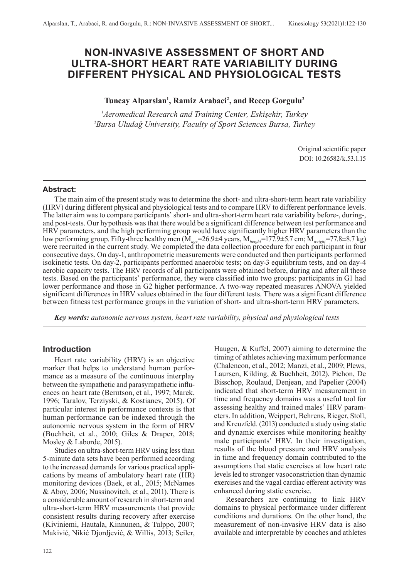# **NON-INVASIVE ASSESSMENT OF SHORT AND ULTRA-SHORT HEART RATE VARIABILITY DURING DIFFERENT PHYSICAL AND PHYSIOLOGICAL TESTS**

## Tuncay Alparslan<sup>1</sup>, Ramiz Arabaci<sup>2</sup>, and Recep Gorgulu<sup>2</sup>

*1 Aeromedical Research and Training Center, Eskişehir, Turkey 2 Bursa Uludağ University, Faculty of Sport Sciences Bursa, Turkey*

> Original scientific paper DOI: 10.26582/k.53.1.15

### **Abstract:**

The main aim of the present study was to determine the short- and ultra-short-term heart rate variability (HRV) during different physical and physiological tests and to compare HRV to different performance levels. The latter aim was to compare participants' short- and ultra-short-term heart rate variability before-, during-, and post-tests. Our hypothesis was that there would be a significant difference between test performance and HRV parameters, and the high performing group would have significantly higher HRV parameters than the low performing group. Fifty-three healthy men (M*age*=26.9±4 years, M*height*=177.9±5.7 cm; M*weight*=77.8±8.7 kg) were recruited in the current study. We completed the data collection procedure for each participant in four consecutive days. On day-1, anthropometric measurements were conducted and then participants performed isokinetic tests. On day-2, participants performed anaerobic tests; on day-3 equilibrium tests, and on day-4 aerobic capacity tests. The HRV records of all participants were obtained before, during and after all these tests. Based on the participants' performance, they were classified into two groups: participants in G1 had lower performance and those in G2 higher performance. A two-way repeated measures ANOVA yielded significant differences in HRV values obtained in the four different tests. There was a significant difference between fitness test performance groups in the variation of short- and ultra-short-term HRV parameters.

*Key words: autonomic nervous system, heart rate variability, physical and physiological tests*

### **Introduction**

Heart rate variability (HRV) is an objective marker that helps to understand human performance as a measure of the continuous interplay between the sympathetic and parasympathetic influences on heart rate (Berntson, et al., 1997; Marek, 1996; Taralov, Terziyski, & Kostianev, 2015). Of particular interest in performance contexts is that human performance can be indexed through the autonomic nervous system in the form of HRV (Buchheit, et al., 2010; Giles & Draper, 2018; Mosley & Laborde, 2015).

Studies on ultra-short-term HRV using less than 5-minute data sets have been performed according to the increased demands for various practical applications by means of ambulatory heart rate (HR) monitoring devices (Baek, et al., 2015; McNames & Aboy, 2006; Nussinovitch, et al., 2011). There is a considerable amount of research in short-term and ultra-short-term HRV measurements that provide consistent results during recovery after exercise (Kiviniemi, Hautala, Kinnunen, & Tulppo, 2007; Makivić, Nikić Djordjević, & Willis, 2013; Seiler,

Haugen, & Kuffel, 2007) aiming to determine the timing of athletes achieving maximum performance (Chalencon, et al., 2012; Manzi, et al., 2009; Plews, Laursen, Kilding, & Buchheit, 2012). Pichon, De Bisschop, Roulaud, Denjean, and Papelier (2004) indicated that short-term HRV measurement in time and frequency domains was a useful tool for assessing healthy and trained males' HRV parameters. In addition, Weippert, Behrens, Rieger, Stoll, and Kreuzfeld. (2013) conducted a study using static and dynamic exercises while monitoring healthy male participants' HRV. In their investigation, results of the blood pressure and HRV analysis in time and frequency domain contributed to the assumptions that static exercises at low heart rate levels led to stronger vasoconstriction than dynamic exercises and the vagal cardiac efferent activity was enhanced during static exercise.

Researchers are continuing to link HRV domains to physical performance under different conditions and durations. On the other hand, the measurement of non-invasive HRV data is also available and interpretable by coaches and athletes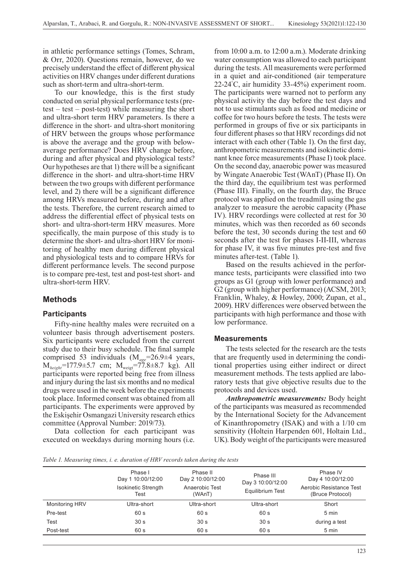in athletic performance settings (Tomes, Schram, & Orr, 2020). Questions remain, however, do we precisely understand the effect of different physical activities on HRV changes under different durations such as short-term and ultra-short-term.

To our knowledge, this is the first study conducted on serial physical performance tests (pretest – test – post-test) while measuring the short and ultra-short term HRV parameters. Is there a difference in the short- and ultra-short monitoring of HRV between the groups whose performance is above the average and the group with belowaverage performance? Does HRV change before, during and after physical and physiological tests? Our hypotheses are that 1) there will be a significant difference in the short- and ultra-short-time HRV between the two groups with different performance level, and 2) there will be a significant difference among HRVs measured before, during and after the tests. Therefore, the current research aimed to address the differential effect of physical tests on short- and ultra-short-term HRV measures. More specifically, the main purpose of this study is to determine the short- and ultra-short HRV for monitoring of healthy men during different physical and physiological tests and to compare HRVs for different performance levels. The second purpose is to compare pre-test, test and post-test short- and ultra-short-term HRV.

### **Methods**

### **Participants**

Fifty-nine healthy males were recruited on a volunteer basis through advertisement posters. Six participants were excluded from the current study due to their busy schedule. The final sample comprised 53 individuals (M*age*=26.9±4 years, M*height*=177.9±5.7 cm; Mweigt=77.8±8.7 kg). All participants were reported being free from illness and injury during the last six months and no medical drugs were used in the week before the experiments took place. Informed consent was obtained from all participants. The experiments were approved by the Eskişehir Osmangazi University research ethics committee (Approval Number: 2019/73).

Data collection for each participant was executed on weekdays during morning hours (i.e.

from 10:00 a.m. to 12:00 a.m.). Moderate drinking water consumption was allowed to each participant during the tests. All measurements were performed in a quiet and air-conditioned (air temperature 22-24° C, air humidity 33-45%) experiment room. The participants were warned not to perform any physical activity the day before the test days and not to use stimulants such as food and medicine or coffee for two hours before the tests. The tests were performed in groups of five or six participants in four different phases so that HRV recordings did not interact with each other (Table 1). On the first day, anthropometric measurements and isokinetic dominant knee force measurements (Phase I) took place. On the second day, anaerobic power was measured by Wingate Anaerobic Test (WAnT) (Phase II). On the third day, the equilibrium test was performed (Phase III). Finally, on the fourth day, the Bruce protocol was applied on the treadmill using the gas analyzer to measure the aerobic capacity (Phase IV). HRV recordings were collected at rest for 30 minutes, which was then recorded as 60 seconds before the test, 30 seconds during the test and 60 seconds after the test for phases I-II-III, whereas for phase IV, it was five minutes pre-test and five minutes after-test. (Table 1).

Based on the results achieved in the performance tests, participants were classified into two groups as G1 (group with lower performance) and G2 (group with higher performance) (ACSM, 2013; Franklin, Whaley, & Howley, 2000; Zupan, et al., 2009). HRV differences were observed between the participants with high performance and those with low performance.

#### **Measurements**

The tests selected for the research are the tests that are frequently used in determining the conditional properties using either indirect or direct measurement methods. The tests applied are laboratory tests that give objective results due to the protocols and devices used.

*Anthropometric measurements:* Body height of the participants was measured as recommended by the International Society for the Advancement of Kinanthropometry (ISAK) and with a 1/10 cm sensitivity (Holtein Harpenden 601, Holtain Ltd., UK). Body weight of the participants were measured

*Table 1. Measuring times, i. e. duration of HRV records taken during the tests*

|                | Phase I<br>Day 1 10:00/12:00       | Phase II<br>Day 2 10:00/12:00 | Phase III<br>Day 3 10:00/12:00 | Phase IV<br>Day 4 10:00/12:00               |
|----------------|------------------------------------|-------------------------------|--------------------------------|---------------------------------------------|
|                | <b>Isokinetic Strength</b><br>Test | Anaerobic Test<br>(WAnT)      | Equilibrium Test               | Aerobic Resistance Test<br>(Bruce Protocol) |
| Monitoring HRV | Ultra-short                        | Ultra-short                   | Ultra-short                    | Short                                       |
| Pre-test       | 60 s                               | 60 s                          | 60 s                           | 5 min                                       |
| Test           | 30 <sub>s</sub>                    | 30 <sub>s</sub>               | 30 <sub>s</sub>                | during a test                               |
| Post-test      | 60 s                               | 60 s                          | 60 s                           | 5 min                                       |
|                |                                    |                               |                                |                                             |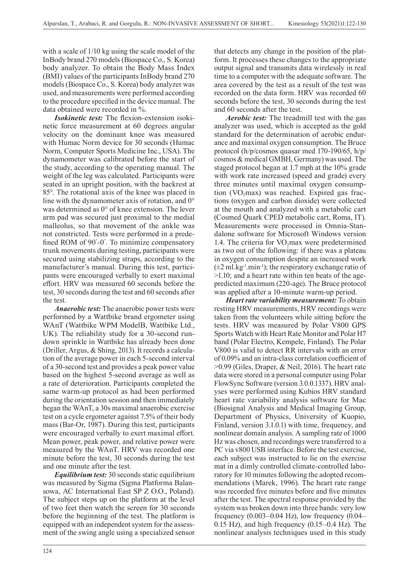with a scale of 1/10 kg using the scale model of the InBody brand 270 models (Biospace Co., S. Korea) body analyzer. To obtain the Body Mass Index (BMI) values of the participants InBody brand 270 models (Biospace Co., S. Korea) body analyzer was used, and measurements were performed according to the procedure specified in the device manual. The data obtained were recorded in %.

*Isokinetic test:* The flexion-extension isokinetic force measurement at 60 degrees angular velocity on the dominant knee was measured with Humac Norm device for 30 seconds (Humac Norm, Computer Sports Medicine Inc., USA). The dynamometer was calibrated before the start of the study, according to the operating manual. The weight of the leg was calculated. Participants were seated in an upright position, with the backrest at 85°. The rotational axis of the knee was placed in line with the dynamometer axis of rotation, and 0° was determined as 0° of knee extension. The lever arm pad was secured just proximal to the medial malleolus, so that movement of the ankle was not constricted. Tests were performed in a predefined ROM of 90°-0°. To minimize compensatory trunk movements during testing, participants were secured using stabilizing straps, according to the manufacturer's manual. During this test, participants were encouraged verbally to exert maximal effort. HRV was measured 60 seconds before the test, 30 seconds during the test and 60 seconds after the test.

*Anaerobic test:* The anaerobic power tests were performed by a Wattbike brand ergometer using WAnT (Wattbike WPM ModelB, Wattbike Ltd., UK). The reliability study for a 30-second rundown sprinkle in Wattbike has already been done (Driller, Argus, & Shing, 2013). It records a calculation of the average power in each 5-second interval of a 30-second test and provides a peak power value based on the highest 5-second average as well as a rate of deterioration. Participants completed the same warm-up protocol as had been performed during the orientation session and then immediately began the WAnT, a 30s maximal anaerobic exercise test on a cycle ergometer against 7.5% of their body mass (Bar-Or, 1987). During this test, participants were encouraged verbally to exert maximal effort. Mean power, peak power, and relative power were measured by the WAnT. HRV was recorded one minute before the test, 30 seconds during the test and one minute after the test.

*Equilibrium test:* 30 seconds static equilibrium was measured by Sigma (Sigma Platforma Balansowa, AC International East SP Z O.O., Poland). The subject steps up on the platform at the level of two feet then watch the screen for 30 seconds before the beginning of the test. The platform is equipped with an independent system for the assessment of the swing angle using a specialized sensor

that detects any change in the position of the platform. It processes these changes to the appropriate output signal and transmits data wirelessly in real time to a computer with the adequate software. The area covered by the test as a result of the test was recorded on the data form. HRV was recorded 60 seconds before the test, 30 seconds during the test and 60 seconds after the test.

*Aerobic test:* The treadmill test with the gas analyzer was used, which is accepted as the gold standard for the determination of aerobic endurance and maximal oxygen consumption. The Bruce protocol (h/p/cosmos quasar med 170-190/65, h/p/ cosmos & medical GMBH, Germany) was used. The staged protocol began at 1.7 mph at the 10% grade with work rate increased (speed and grade) every three minutes until maximal oxygen consumption (VO<sub>2</sub>max) was reached. Expired gas fractions (oxygen and carbon dioxide) were collected at the mouth and analyzed with a metabolic cart (Cosmed Quark CPED metabolic cart, Roma, IT). Measurements were processed in Omnia-Standalone software for Microsoft Windows version 1.4. The criteria for  $VO<sub>2</sub>$  max were predetermined as two out of the following: if there was a plateau in oxygen consumption despite an increased work  $(\pm 2 \text{ ml} \cdot \text{kg}^{-1} \cdot \text{min}^{-1})$ ; the respiratory exchange ratio of >1.10; and a heart rate within ten beats of the agepredicted maximum (220-age). The Bruce protocol was applied after a 10-minute warm-up period.

*Heart rate variability measurement:* To obtain resting HRV measurements, HRV recordings were taken from the volunteers while sitting before the tests. HRV was measured by Polar V800 GPS Sports Watch with Heart Rate Monitor and Polar H7 band (Polar Electro, Kempele, Finland). The Polar V800 is valid to detect RR intervals with an error of 0.09% and an intra-class correlation coefficient of >0.99 (Giles, Draper, & Neil, 2016). The heart rate data were stored in a personal computer using Polar FlowSync Software (version 3.0.0.1337). HRV analyses were performed using Kubios HRV standard heart rate variability analysis software for Mac (Biosignal Analysis and Medical Imaging Group, Department of Physics, University of Kuopio, Finland, version 3.1.0.1) with time, frequency, and nonlinear domain analysis. A sampling rate of 1000 Hz was chosen, and recordings were transferred to a PC via v800 USB interface. Before the test exercise, each subject was instructed to lie on the exercise mat in a dimly controlled climate-controlled laboratory for 10 minutes following the adopted recommendations (Marek, 1996). The heart rate range was recorded five minutes before and five minutes after the test. The spectral response provided by the system was broken down into three bands: very low frequency  $(0.003-0.04 \text{ Hz})$ , low frequency  $(0.04-$ 0.15 Hz), and high frequency (0.15–0.4 Hz). The nonlinear analysis techniques used in this study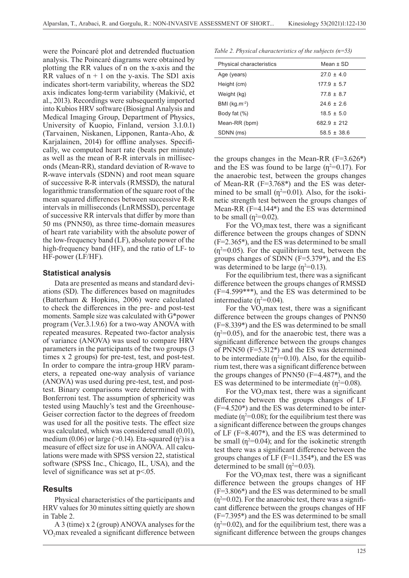were the Poincaré plot and detrended fluctuation analysis. The Poincaré diagrams were obtained by plotting the RR values of n on the x-axis and the RR values of  $n + 1$  on the y-axis. The SD1 axis indicates short-term variability, whereas the SD2 axis indicates long-term variability (Makivić, et al., 2013). Recordings were subsequently imported into Kubios HRV software (Biosignal Analysis and Medical Imaging Group, Department of Physics, University of Kuopio, Finland, version 3.1.0.1) (Tarvainen, Niskanen, Lipponen, Ranta-Aho, & Karjalainen, 2014) for offline analyses. Specifically, we computed heart rate (beats per minute) as well as the mean of R-R intervals in milliseconds (Mean-RR), standard deviation of R-wave to R-wave intervals (SDNN) and root mean square of successive R-R intervals (RMSSD), the natural logarithmic transformation of the square root of the mean squared differences between successive R-R intervals in milliseconds (LnRMSSD), percentage of successive RR intervals that differ by more than 50 ms (PNN50), as three time-domain measures of heart rate variability with the absolute power of the low-frequency band (LF), absolute power of the high-frequency band (HF), and the ratio of LF- to HF-power (LF/HF).

### **Statistical analysis**

Data are presented as means and standard deviations (SD). The differences based on magnitudes (Batterham & Hopkins, 2006) were calculated to check the differences in the pre- and post-test moments. Sample size was calculated with G\*power program (Ver.3.1.9.6) for a two-way ANOVA with repeated measures. Repeated two-factor analysis of variance (ANOVA) was used to compare HRV parameters in the participants of the two groups (3 times x 2 groups) for pre-test, test, and post-test. In order to compare the intra-group HRV parameters, a repeated one-way analysis of variance (ANOVA) was used during pre-test, test, and posttest. Binary comparisons were determined with Bonferroni test. The assumption of sphericity was tested using Mauchly's test and the Greenhouse-Geiser correction factor to the degrees of freedom was used for all the positive tests. The effect size was calculated, which was considered small (0.01), medium  $(0.06)$  or large (>0.14). Eta-squared  $(\eta^2)$  is a measure of effect size for use in ANOVA. All calculations were made with SPSS version 22, statistical software (SPSS Inc., Chicago, IL, USA), and the level of significance was set at p<.05.

# **Results**

Physical characteristics of the participants and HRV values for 30 minutes sitting quietly are shown in Table 2.

A 3 (time) x 2 (group) ANOVA analyses for the  $VO<sub>2</sub>max$  revealed a significant difference between

*Table 2. Physical characteristics of the subjects (n=53)*

| Physical characteristics | Mean $\pm$ SD   |  |
|--------------------------|-----------------|--|
| Age (years)              | $27.0 \pm 4.0$  |  |
| Height (cm)              | $177.9 \pm 5.7$ |  |
| Weight (kg)              | $778 + 87$      |  |
| BMI ( $kg.m^{-2}$ )      | $246 + 26$      |  |
| Body fat (%)             | $185 + 50$      |  |
| Mean-RR (bpm)            | $682.9 \pm 212$ |  |
| SDNN (ms)                | $58.5 \pm 38.6$ |  |

the groups changes in the Mean-RR  $(F=3.626*)$ and the ES was found to be large  $(n^2=0.17)$ . For the anaerobic test, between the groups changes of Mean-RR (F=3.768\*) and the ES was determined to be small ( $\eta^2$ =0.01). Also, for the isokinetic strength test between the groups changes of Mean-RR (F=4.144\*) and the ES was determined to be small  $(\eta^2=0.02)$ .

For the  $VO<sub>2</sub>$ max test, there was a significant difference between the groups changes of SDNN (F=2.365\*), and the ES was determined to be small  $(\eta^2=0.05)$ . For the equilibrium test, between the groups changes of SDNN (F=5.379\*), and the ES was determined to be large  $(\eta^2=0.13)$ .

For the equilibrium test, there was a significant difference between the groups changes of RMSSD (F=4.599\*\*\*), and the ES was determined to be intermediate  $(n^2=0.04)$ .

For the  $VO_2$ max test, there was a significant difference between the groups changes of PNN50 (F=8.339\*) and the ES was determined to be small  $(\eta^2=0.05)$ , and for the anaerobic test, there was a significant difference between the groups changes of PNN50 (F=5.312\*) and the ES was determined to be intermediate ( $\eta^2$ =0.10). Also, for the equilibrium test, there was a significant difference between the groups changes of PNN50 (F=4.487\*), and the ES was determined to be intermediate  $(\eta^2=0.08)$ .

For the VO<sub>2</sub>max test, there was a significant difference between the groups changes of LF  $(F=4.520*)$  and the ES was determined to be intermediate ( $\eta^2$ =0.08); for the equilibrium test there was a significant difference between the groups changes of LF (F=8.407\*), and the ES was determined to be small  $(p^2=0.04)$ ; and for the isokinetic strength test there was a significant difference between the groups changes of LF (F=11.354\*), and the ES was determined to be small  $(\eta^2=0.03)$ .

For the  $VO_2$ max test, there was a significant difference between the groups changes of HF (F=3.806\*) and the ES was determined to be small  $(\eta^2=0.02)$ . For the anaerobic test, there was a significant difference between the groups changes of HF (F=7.395\*) and the ES was determined to be small  $(\eta^2=0.02)$ , and for the equilibrium test, there was a significant difference between the groups changes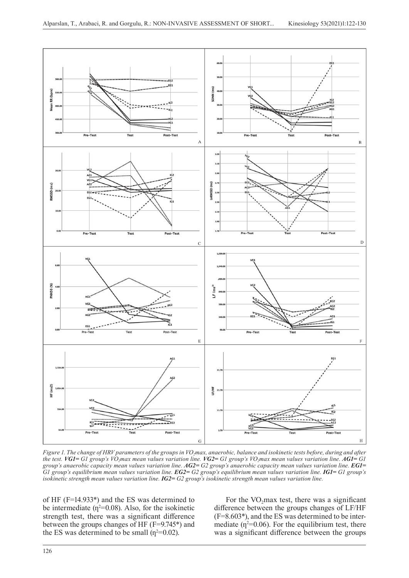

*Figure 1. The change of HRV parameters of the groups in VO<sub><i>i</sub>max*, anaerobic, balance and isokinetic tests before, during and after</sub> *the test. VG1= G1 group's VO2max mean values variation line. VG2= G1 group's VO2max mean values variation line. AG1= G1 group's anaerobic capacity mean values variation line. AG2= G2 group's anaerobic capacity mean values variation line. EG1= G1 group's equilibrium mean values variation line. EG2= G2 group's equilibrium mean values variation line. IG1= G1 group's isokinetic strength mean values variation line. IG2= G2 group's isokinetic strength mean values variation line.*

of HF (F=14.933\*) and the ES was determined to be intermediate  $(\eta^2=0.08)$ . Also, for the isokinetic strength test, there was a significant difference between the groups changes of HF (F=9.745\*) and the ES was determined to be small  $(\eta^2=0.02)$ .

For the  $VO_2$ max test, there was a significant difference between the groups changes of LF/HF (F=8.603\*), and the ES was determined to be intermediate  $(p^2=0.06)$ . For the equilibrium test, there was a significant difference between the groups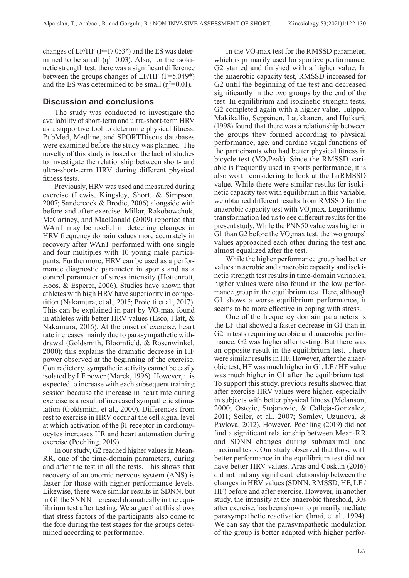changes of LF/HF (F=17.053\*) and the ES was determined to be small  $(\eta^2=0.03)$ . Also, for the isokinetic strength test, there was a significant difference between the groups changes of LF/HF (F=5.049\*) and the ES was determined to be small  $(\eta^2=0.01)$ .

### **Discussion and conclusions**

The study was conducted to investigate the availability of short-term and ultra-short-term HRV as a supportive tool to determine physical fitness. PubMed, Medline, and SPORTDiscus databases were examined before the study was planned. The novelty of this study is based on the lack of studies to investigate the relationship between short- and ultra-short-term HRV during different physical fitness tests.

Previously, HRV was used and measured during exercise (Lewis, Kingsley, Short, & Simpson, 2007; Sandercock & Brodie, 2006) alongside with before and after exercise. Millar, Rakobowchuk, McCartney, and MacDonald (2009) reported that WAnT may be useful in detecting changes in HRV frequency domain values more accurately in recovery after WAnT performed with one single and four multiples with 10 young male participants. Furthermore, HRV can be used as a performance diagnostic parameter in sports and as a control parameter of stress intensity (Hottenrott, Hoos, & Esperer, 2006). Studies have shown that athletes with high HRV have superiority in competition (Nakamura, et al., 2015; Proietti et al., 2017). This can be explained in part by  $VO_2$ max found in athletes with better HRV values (Esco, Flatt, & Nakamura, 2016). At the onset of exercise, heart rate increases mainly due to parasympathetic withdrawal (Goldsmith, Bloomfield, & Rosenwinkel, 2000); this explains the dramatic decrease in HF power observed at the beginning of the exercise. Contradictory, sympathetic activity cannot be easily isolated by LF power (Marek, 1996). However, it is expected to increase with each subsequent training session because the increase in heart rate during exercise is a result of increased sympathetic stimulation (Goldsmith, et al., 2000). Differences from rest to exercise in HRV occur at the cell signal level at which activation of the β1 receptor in cardiomyocytes increases HR and heart automation during exercise (Poehling, 2019).

In our study, G2 reached higher values in Mean-RR, one of the time-domain parameters, during and after the test in all the tests. This shows that recovery of autonomic nervous system (ANS) is faster for those with higher performance levels. Likewise, there were similar results in SDNN, but in G1 the SNNN increased dramatically in the equilibrium test after testing. We argue that this shows that stress factors of the participants also come to the fore during the test stages for the groups determined according to performance.

In the  $VO<sub>2</sub>max$  test for the RMSSD parameter, which is primarily used for sportive performance, G2 started and finished with a higher value. In the anaerobic capacity test, RMSSD increased for G2 until the beginning of the test and decreased significantly in the two groups by the end of the test. In equilibrium and isokinetic strength tests, G2 completed again with a higher value. Tulppo, Makikallio, Seppänen, Laukkanen, and Huikuri, (1998) found that there was a relationship between the groups they formed according to physical performance, age, and cardiac vagal functions of the participants who had better physical fitness in bicycle test  $(VO<sub>2</sub>Peak)$ . Since the RMSSD variable is frequently used in sports performance, it is also worth considering to look at the LnRMSSD value. While there were similar results for isokinetic capacity test with equilibrium in this variable, we obtained different results from RMSSD for the anaerobic capacity test with  $VO_2$ max. Logarithmic transformation led us to see different results for the present study. While the PNN50 value was higher in G1 than G2 before the VO<sub>2</sub>max test, the two groups' values approached each other during the test and almost equalized after the test.

While the higher performance group had better values in aerobic and anaerobic capacity and isokinetic strength test results in time-domain variables, higher values were also found in the low performance group in the equilibrium test. Here, although G1 shows a worse equilibrium performance, it seems to be more effective in coping with stress.

One of the frequency domain parameters is the LF that showed a faster decrease in G1 than in G2 in tests requiring aerobic and anaerobic performance. G2 was higher after testing. But there was an opposite result in the equilibrium test. There were similar results in HF. However, after the anaerobic test, HF was much higher in G1. LF / HF value was much higher in G1 after the equilibrium test. To support this study, previous results showed that after exercise HRV values were higher, especially in subjects with better physical fitness (Melanson, 2000; Ostojic, Stojanovic, & Calleja-Gonzalez, 2011; Seiler, et al., 2007; Somlev, Uzunova, & Pavlova, 2012). However, Poehling (2019) did not find a significant relationship between Mean-RR and SDNN changes during submaximal and maximal tests. Our study observed that those with better performance in the equilibrium test did not have better HRV values. Aras and Coskun (2016) did not find any significant relationship between the changes in HRV values (SDNN, RMSSD, HF, LF / HF) before and after exercise. However, in another study, the intensity at the anaerobic threshold, 30s after exercise, has been shown to primarily mediate parasympathetic reactivation (Imai, et al., 1994). We can say that the parasympathetic modulation of the group is better adapted with higher perfor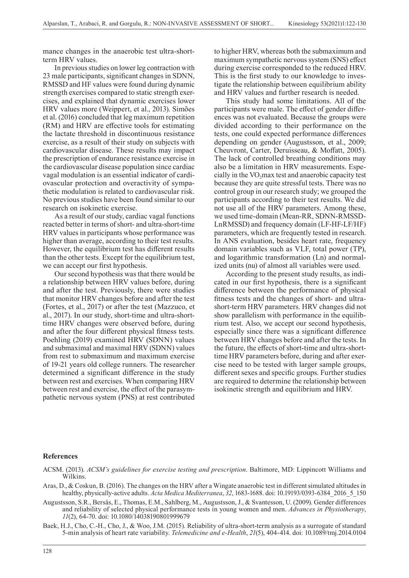mance changes in the anaerobic test ultra-shortterm HRV values.

In previous studies on lower leg contraction with 23 male participants, significant changes in SDNN, RMSSD and HF values were found during dynamic strength exercises compared to static strength exercises, and explained that dynamic exercises lower HRV values more (Weippert, et al., 2013). Simões et al. (2016) concluded that leg maximum repetition (RM) and HRV are effective tools for estimating the lactate threshold in discontinuous resistance exercise, as a result of their study on subjects with cardiovascular disease. These results may impact the prescription of endurance resistance exercise in the cardiovascular disease population since cardiac vagal modulation is an essential indicator of cardiovascular protection and overactivity of sympathetic modulation is related to cardiovascular risk. No previous studies have been found similar to our research on isokinetic exercise.

As a result of our study, cardiac vagal functions reacted better in terms of short- and ultra-short-time HRV values in participants whose performance was higher than average, according to their test results. However, the equilibrium test has different results than the other tests. Except for the equilibrium test, we can accept our first hypothesis.

Our second hypothesis was that there would be a relationship between HRV values before, during and after the test. Previously, there were studies that monitor HRV changes before and after the test (Fortes, et al., 2017) or after the test (Mazzuco, et al., 2017). In our study, short-time and ultra-shorttime HRV changes were observed before, during and after the four different physical fitness tests. Poehling (2019) examined HRV (SDNN) values and submaximal and maximal HRV (SDNN) values from rest to submaximum and maximum exercise of 19-21 years old college runners. The researcher determined a significant difference in the study between rest and exercises. When comparing HRV between rest and exercise, the effect of the parasympathetic nervous system (PNS) at rest contributed to higher HRV, whereas both the submaximum and maximum sympathetic nervous system (SNS) effect during exercise corresponded to the reduced HRV. This is the first study to our knowledge to investigate the relationship between equilibrium ability and HRV values and further research is needed.

This study had some limitations. All of the participants were male. The effect of gender differences was not evaluated. Because the groups were divided according to their performance on the tests, one could expected performance differences depending on gender (Augustsson, et al., 2009; Cheuvront, Carter, Deruisseau, & Moffatt, 2005). The lack of controlled breathing conditions may also be a limitation in HRV measurements. Especially in the  $VO<sub>2</sub>$ max test and anaerobic capacity test because they are quite stressful tests. There was no control group in our research study; we grouped the participants according to their test results. We did not use all of the HRV parameters. Among these, we used time-domain (Mean-RR, SDNN-RMSSD-LnRMSSD) and frequency domain (LF-HF-LF/HF) parameters, which are frequently tested in research. In ANS evaluation, besides heart rate, frequency domain variables such as VLF, total power (TP), and logarithmic transformation (Ln) and normalized units (nu) of almost all variables were used.

According to the present study results, as indicated in our first hypothesis, there is a significant difference between the performance of physical fitness tests and the changes of short- and ultrashort-term HRV parameters. HRV changes did not show parallelism with performance in the equilibrium test. Also, we accept our second hypothesis, especially since there was a significant difference between HRV changes before and after the tests. In the future, the effects of short-time and ultra-shorttime HRV parameters before, during and after exercise need to be tested with larger sample groups, different sexes and specific groups. Further studies are required to determine the relationship between isokinetic strength and equilibrium and HRV.

#### **References**

- Aras, D., & Coskun, B. (2016). The changes on the HRV after a Wingate anaerobic test in different simulated altitudes in healthy, physically-active adults. *Acta Medica Mediterranea*, *32*, 1683-1688. doi: 10.19193/0393-6384\_2016\_5\_150
- Augustsson, S.R., Bersås, E., Thomas, E.M., Sahlberg, M., Augustsson, J., & Svantesson, U. (2009). Gender differences and reliability of selected physical performance tests in young women and men. *Advances in Physiotherapy*, *11*(2), 64-70. doi: 10.1080/14038190801999679
- Baek, H.J., Cho, C.-H., Cho, J., & Woo, J.M. (2015). Reliability of ultra-short-term analysis as a surrogate of standard 5-min analysis of heart rate variability. *Telemedicine and e-Health*, *21*(5), 404-414. doi: 10.1089/tmj.2014.0104

ACSM. (2013). *ACSM's guidelines for exercise testing and prescription*. Baltimore, MD: Lippincott Williams and Wilkins.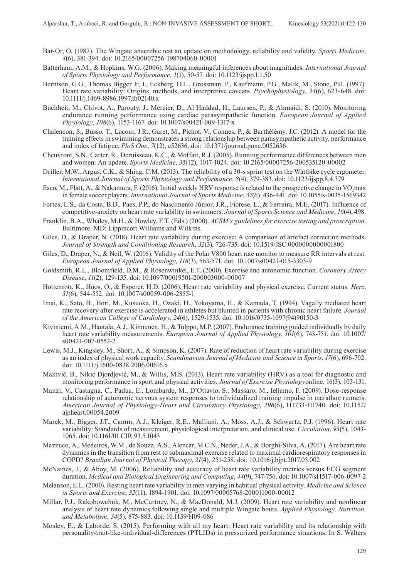- Bar-Or, O. (1987). The Wingate anaerobic test an update on methodology, reliability and validity. *Sports Medicine*, *4*(6), 381-394. doi: 10.2165/00007256-198704060-00001
- Batterham, A.M., & Hopkins, W.G. (2006). Making meaningful inferences about magnitudes. *International Journal of Sports Physiology and Performance*, *1*(1), 50-57. doi: 10.1123/ijspp.1.1.50
- Berntson, G.G., Thomas Bigger Jr, J., Eckberg, D.L., Grossman, P., Kaufmann, P.G., Malik, M., Stone, P.H. (1997). Heart rate variability: Origins, methods, and interpretive caveats. *Psychophysiology*, *34*(6), 623-648. doi: 10.1111/j.1469-8986.1997.tb02140.x
- Buchheit, M., Chivot, A., Parouty, J., Mercier, D., Al Haddad, H., Laursen, P., & Ahmaidi, S. (2010). Monitoring endurance running performance using cardiac parasympathetic function. *European Journal of Applied Physiology*, *108*(6), 1153-1167. doi: 10.1007/s00421-009-1317-x
- Chalencon, S., Busso, T., Lacour, J.R., Garet, M., Pichot, V., Connes, P., & Barthélémy, J.C. (2012). A model for the training effects in swimming demonstrates a strong relationship between parasympathetic activity, performance and index of fatigue. *PloS One*, *7*(12), e52636. doi: 10.1371/journal.pone.0052636
- Cheuvront, S.N., Carter, R., Deruisseau, K.C., & Moffatt, R.J. (2005). Running performance differences between men and women: An update. *Sports Medicine*, *35*(12), 1017-1024. doi: 10.2165/00007256-200535120-00002
- Driller, M.W., Argus, C.K., & Shing, C.M. (2013). The reliability of a 30-s sprint test on the Wattbike cycle ergometer. *International Journal of Sports Physiology and Performance*, *8*(4), 379-383. doi: 10.1123/ijspp.8.4.379
- Esco, M., Flatt, A., & Nakamura, F. (2016). Initial weekly HRV response is related to the prospective change in VO<sub>2</sub>max in female soccer players. *International Journal of Sports Medicine*, *37*(6), 436-441. doi: 10.1055/s-0035-1569342
- Fortes, L.S., da Costa, B.D., Paes, P.P., do Nascimento Júnior, J.R., Fiorese, L., & Ferreira, M.E. (2017). Influence of competitive-anxiety on heart rate variability in swimmers. *Journal of Sports Science and Medicine*, *16*(4), 498.
- Franklin, B.A., Whaley, M.H., & Howley, E.T. (Eds.) (2000). *ACSM's guidelines for exercise testing and prescription*. Baltimore, MD: Lippincott Williams and Wilkins.
- Giles, D., & Draper, N. (2018). Heart rate variability during exercise: A comparison of artefact correction methods. *Journal of Strength and Conditioning Research*, *32*(3), 726-735. doi: 10.1519/JSC.0000000000001800
- Giles, D., Draper, N., & Neil, W. (2016). Validity of the Polar V800 heart rate monitor to measure RR intervals at rest. *European Journal of Applied Physiology*, *116*(3), 563-571. doi: 10.1007/s00421-015-3303-9
- Goldsmith, R.L., Bloomfield, D.M., & Rosenwinkel, E.T. (2000). Exercise and autonomic function. *Coronary Artery Disease*, *11*(2), 129-135. doi: 10.1097/00019501-200003000-00007
- Hottenrott, K., Hoos, O., & Esperer, H.D. (2006). Heart rate variability and physical exercise. Current status. *Herz*, *31*(6), 544-552. doi: 10.1007/s00059-006-2855-1
- Imai, K., Sato, H., Hori, M., Kusuoka, H., Ozaki, H., Yokoyama, H., & Kamada, T. (1994). Vagally mediated heart rate recovery after exercise is accelerated in athletes but blunted in patients with chronic heart failure. *Journal of the American College of Cardiology*, *24*(6), 1529-1535. doi: 10.1016/0735-1097(94)90150-3
- Kiviniemi, A.M., Hautala, A.J., Kinnunen, H., & Tulppo, M.P. (2007). Endurance training guided individually by daily heart rate variability measurements. *European Journal of Applied Physiology*, *101*(6), 743-751. doi: 10.1007/ s00421-007-0552-2
- Lewis, M.J., Kingsley, M., Short, A., & Simpson, K. (2007). Rate of reduction of heart rate variability during exercise as an index of physical work capacity. *Scandinavian Journal of Medicine and Science in Sports*, *17*(6), 696-702. doi: 10.1111/j.1600-0838.2006.00616.x
- Makivić, B., Nikić Djordjević, M., & Willis, M.S. (2013). Heart rate variability (HRV) as a tool for diagnostic and monitoring performance in sport and physical activities. *Journal of Exercise Physiology*online, 16(3), 103-131.
- Manzi, V., Castagna, C., Padua, E., Lombardo, M., D'Ottavio, S., Massaro, M., Iellamo, F. (2009). Dose-response relationship of autonomic nervous system responses to individualized training impulse in marathon runners. *American Journal of Physiology-Heart and Circulatory Physiology*, *296*(6), H1733-H1740. doi: 10.1152/ ajpheart.00054.2009
- Marek, M., Bigger, J.T., Camm, A.J., Kleiger, R.E., Malliani, A., Moss, A.J., & Schwartz, P.J. (1996). Heart rate variability: Standards of measurement, physiological interpretation, and clinical use. *Circulation*, *93*(5), 1043- 1065. doi: 10.1161/01.CIR.93.5.1043
- Mazzuco, A., Medeiros, W.M., de Souza, A.S., Alencar, M.C.N., Neder, J.A., & Borghi-Silva, A. (2017). Are heart rate dynamics in the transition from rest to submaximal exercise related to maximal cardiorespiratory responses in COPD? *Brazilian Journal of Physical Therapy*, *21*(4), 251-258. doi: 10.1016/j.bjpt.2017.05.002
- McNames, J., & Aboy, M. (2006). Reliability and accuracy of heart rate variability metrics versus ECG segment duration. *Medical and Biological Engineering and Computing*, *44*(9), 747-756. doi: 10.1007/s11517-006-0097-2
- Melanson, E.L. (2000). Resting heart rate variability in men varying in habitual physical activity. *Medicine and Science in Sports and Exercise*, *32*(11), 1894-1901. doi: 10.1097/00005768-200011000-00012
- Millar, P.J., Rakobowchuk, M., McCartney, N., & MacDonald, M.J. (2009). Heart rate variability and nonlinear analysis of heart rate dynamics following single and multiple Wingate bouts. *Applied Physiology, Nutrition, and Metabolism*, *34*(5), 875-883. doi: 10.1139/H09-086
- Mosley, E., & Laborde, S. (2015). Performing with all my heart: Heart rate variability and its relationship with personality-trait-like-individual-differences (PTLIDs) in pressurized performance situations. In S. Walters